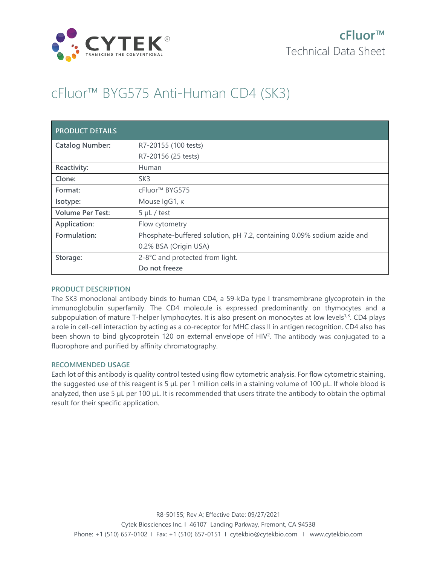

# cFluor™ BYG575 Anti-Human CD4 (SK3)

| <b>PRODUCT DETAILS</b>  |                                                                        |
|-------------------------|------------------------------------------------------------------------|
| <b>Catalog Number:</b>  | R7-20155 (100 tests)                                                   |
|                         | R7-20156 (25 tests)                                                    |
| Reactivity:             | Human                                                                  |
| Clone:                  | SK <sub>3</sub>                                                        |
| Format:                 | cFluor <sup>™</sup> BYG575                                             |
| Isotype:                | Mouse IgG1, к                                                          |
| <b>Volume Per Test:</b> | $5 \mu L$ / test                                                       |
| Application:            | Flow cytometry                                                         |
| Formulation:            | Phosphate-buffered solution, pH 7.2, containing 0.09% sodium azide and |
|                         | 0.2% BSA (Origin USA)                                                  |
| Storage:                | 2-8°C and protected from light.                                        |
|                         | Do not freeze                                                          |

## **PRODUCT DESCRIPTION**

The SK3 monoclonal antibody binds to human CD4, a 59-kDa type I transmembrane glycoprotein in the immunoglobulin superfamily. The CD4 molecule is expressed predominantly on thymocytes and a subpopulation of mature T-helper lymphocytes. It is also present on monocytes at low levels<sup>1,3</sup>. CD4 plays a role in cell-cell interaction by acting as a co-receptor for MHC class II in antigen recognition. CD4 also has been shown to bind glycoprotein 120 on external envelope of HIV<sup>2</sup>. The antibody was conjugated to a fluorophore and purified by affinity chromatography.

## **RECOMMENDED USAGE**

Each lot of this antibody is quality control tested using flow cytometric analysis. For flow cytometric staining, the suggested use of this reagent is 5 µL per 1 million cells in a staining volume of 100 µL. If whole blood is analyzed, then use 5 µL per 100 µL. It is recommended that users titrate the antibody to obtain the optimal result for their specific application.